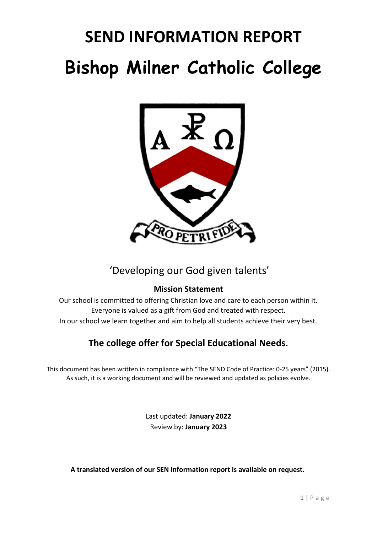# **SEND INFORMATION REPORT Bishop Milner Catholic College**



### 'Developing our God given talents'

### **Mission Statement**

Our school is committed to offering Christian love and care to each person within it. Everyone is valued as a gift from God and treated with respect. In our school we learn together and aim to help all students achieve their very best.

### **The college offer for Special Educational Needs.**

This document has been written in compliance with "The SEND Code of Practice: 0-25 years" (2015). As such, it is a working document and will be reviewed and updated as policies evolve.

> Last updated: **January 2022** Review by: **January 2023**

**A translated version of our SEN Information report is available on request.**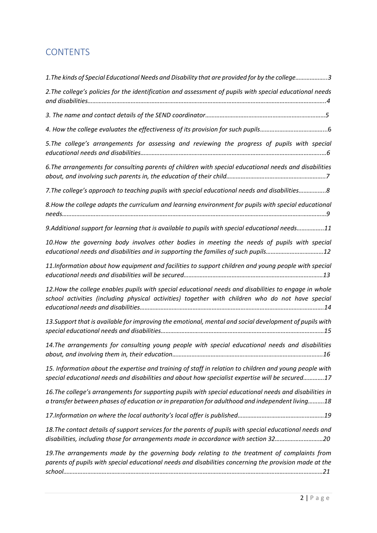### **CONTENTS**

| 19. The arrangements made by the governing body relating to the treatment of complaints from<br>parents of pupils with special educational needs and disabilities concerning the provision made at the     |
|------------------------------------------------------------------------------------------------------------------------------------------------------------------------------------------------------------|
| 18. The contact details of support services for the parents of pupils with special educational needs and<br>disabilities, including those for arrangements made in accordance with section 3220            |
|                                                                                                                                                                                                            |
| 16. The college's arrangements for supporting pupils with special educational needs and disabilities in<br>a transfer between phases of education or in preparation for adulthood and independent living18 |
| 15. Information about the expertise and training of staff in relation to children and young people with<br>special educational needs and disabilities and about how specialist expertise will be secured17 |
| 14. The arrangements for consulting young people with special educational needs and disabilities                                                                                                           |
| 13.Support that is available for improving the emotional, mental and social development of pupils with                                                                                                     |
| 12.How the college enables pupils with special educational needs and disabilities to engage in whole<br>school activities (including physical activities) together with children who do not have special   |
| 11.Information about how equipment and facilities to support children and young people with special                                                                                                        |
| 10.How the governing body involves other bodies in meeting the needs of pupils with special<br>educational needs and disabilities and in supporting the families of such pupils12                          |
| 9.Additional support for learning that is available to pupils with special educational needs11                                                                                                             |
| 8. How the college adapts the curriculum and learning environment for pupils with special educational                                                                                                      |
| 7. The college's approach to teaching pupils with special educational needs and disabilities8                                                                                                              |
| 6. The arrangements for consulting parents of children with special educational needs and disabilities                                                                                                     |
| 5. The college's arrangements for assessing and reviewing the progress of pupils with special                                                                                                              |
|                                                                                                                                                                                                            |
|                                                                                                                                                                                                            |
| 2. The college's policies for the identification and assessment of pupils with special educational needs                                                                                                   |
| 1. The kinds of Special Educational Needs and Disability that are provided for by the college3                                                                                                             |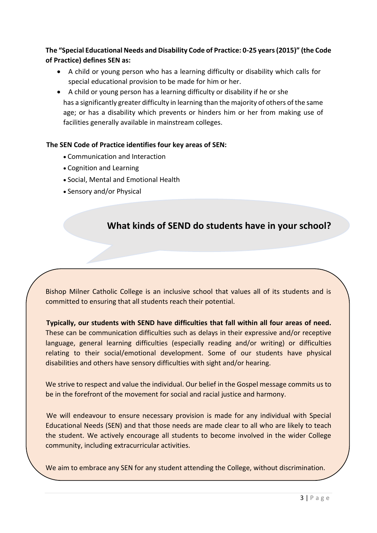**The "Special Educational Needs and Disability Code of Practice: 0-25 years (2015)" (the Code of Practice) defines SEN as:**

- A child or young person who has a learning difficulty or disability which calls for special educational provision to be made for him or her.
- A child or young person has a learning difficulty or disability if he or she has a significantly greater difficulty in learning than the majority of others of the same age; or has a disability which prevents or hinders him or her from making use of facilities generally available in mainstream colleges.

#### **The SEN Code of Practice identifies four key areas of SEN:**

- Communication and Interaction
- Cognition and Learning
- Social, Mental and Emotional Health
- Sensory and/or Physical

### **What kinds of SEND do students have in your school?**

Bishop Milner Catholic College is an inclusive school that values all of its students and is committed to ensuring that all students reach their potential.

**Typically, our students with SEND have difficulties that fall within all four areas of need.** These can be communication difficulties such as delays in their expressive and/or receptive language, general learning difficulties (especially reading and/or writing) or difficulties relating to their social/emotional development. Some of our students have physical disabilities and others have sensory difficulties with sight and/or hearing.

We strive to respect and value the individual. Our belief in the Gospel message commits us to be in the forefront of the movement for social and racial justice and harmony.

We will endeavour to ensure necessary provision is made for any individual with Special Educational Needs (SEN) and that those needs are made clear to all who are likely to teach the student. We actively encourage all students to become involved in the wider College community, including extracurricular activities.

We aim to embrace any SEN for any student attending the College, without discrimination.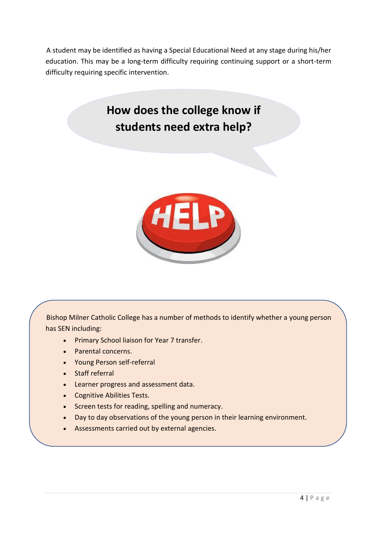A student may be identified as having a Special Educational Need at any stage during his/her education. This may be a long-term difficulty requiring continuing support or a short-term difficulty requiring specific intervention.

### **How does the college know if students need extra help?**



Bishop Milner Catholic College has a number of methods to identify whether a young person has SEN including:

- Primary School liaison for Year 7 transfer.
- Parental concerns.
- Young Person self-referral
- Staff referral
- Learner progress and assessment data.
- Cognitive Abilities Tests.
- Screen tests for reading, spelling and numeracy.
- Day to day observations of the young person in their learning environment.
- Assessments carried out by external agencies.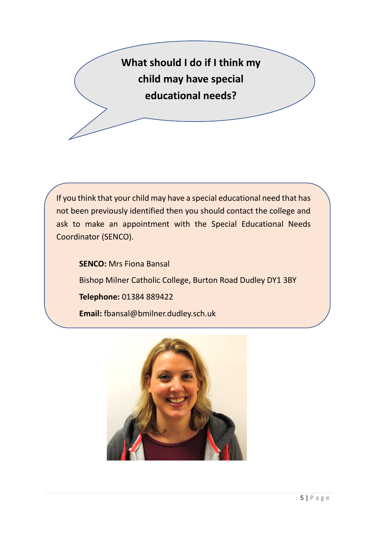**What should I do if I think my child may have special educational needs?**

If you think that your child may have a special educational need that has not been previously identified then you should contact the college and ask to make an appointment with the Special Educational Needs Coordinator (SENCO).

**SENCO:** Mrs Fiona Bansal Bishop Milner Catholic College, Burton Road Dudley DY1 3BY **Telephone:** 01384 889422 **Email:** fbansal@bmilner.dudley.sch.uk

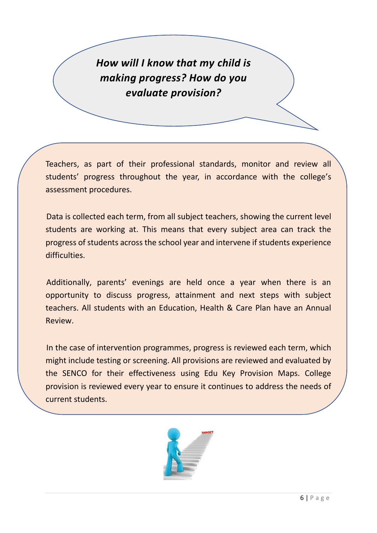*How will I know that my child is making progress? How do you evaluate provision?*

Teachers, as part of their professional standards, monitor and review all students' progress throughout the year, in accordance with the college's assessment procedures.

Data is collected each term, from all subject teachers, showing the current level students are working at. This means that every subject area can track the progress of students across the school year and intervene if students experience difficulties.

Additionally, parents' evenings are held once a year when there is an opportunity to discuss progress, attainment and next steps with subject teachers. All students with an Education, Health & Care Plan have an Annual Review.

In the case of intervention programmes, progress is reviewed each term, which might include testing or screening. All provisions are reviewed and evaluated by the SENCO for their effectiveness using Edu Key Provision Maps. College provision is reviewed every year to ensure it continues to address the needs of current students.

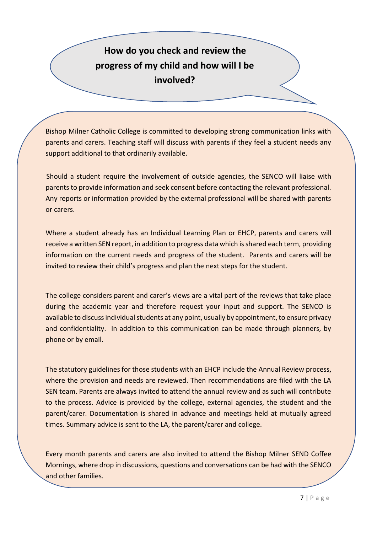### **How do you check and review the progress of my child and how will I be involved?**

Bishop Milner Catholic College is committed to developing strong communication links with parents and carers. Teaching staff will discuss with parents if they feel a student needs any support additional to that ordinarily available.

Should a student require the involvement of outside agencies, the SENCO will liaise with parents to provide information and seek consent before contacting the relevant professional. Any reports or information provided by the external professional will be shared with parents or carers.

Where a student already has an Individual Learning Plan or EHCP, parents and carers will receive a written SEN report, in addition to progress data which is shared each term, providing information on the current needs and progress of the student. Parents and carers will be invited to review their child's progress and plan the next steps for the student.

The college considers parent and carer's views are a vital part of the reviews that take place during the academic year and therefore request your input and support. The SENCO is available to discuss individual students at any point, usually by appointment, to ensure privacy and confidentiality. In addition to this communication can be made through planners, by phone or by email.

The statutory guidelines for those students with an EHCP include the Annual Review process, where the provision and needs are reviewed. Then recommendations are filed with the LA SEN team. Parents are always invited to attend the annual review and as such will contribute to the process. Advice is provided by the college, external agencies, the student and the parent/carer. Documentation is shared in advance and meetings held at mutually agreed times. Summary advice is sent to the LA, the parent/carer and college.

Every month parents and carers are also invited to attend the Bishop Milner SEND Coffee Mornings, where drop in discussions, questions and conversations can be had with the SENCO and other families.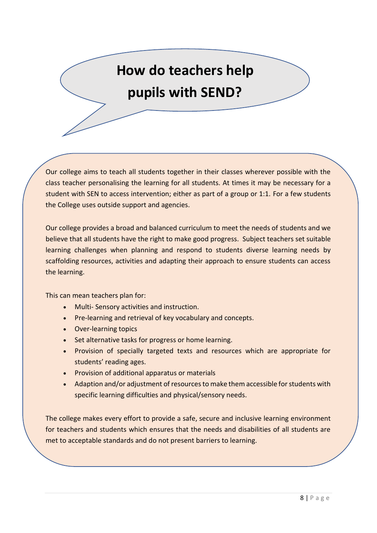# **How do teachers help pupils with SEND?**

Our college aims to teach all students together in their classes wherever possible with the class teacher personalising the learning for all students. At times it may be necessary for a student with SEN to access intervention; either as part of a group or 1:1. For a few students the College uses outside support and agencies.

Our college provides a broad and balanced curriculum to meet the needs of students and we believe that all students have the right to make good progress. Subject teachers set suitable learning challenges when planning and respond to students diverse learning needs by scaffolding resources, activities and adapting their approach to ensure students can access the learning.

This can mean teachers plan for:

- Multi- Sensory activities and instruction.
- Pre-learning and retrieval of key vocabulary and concepts.
- Over-learning topics
- Set alternative tasks for progress or home learning.
- Provision of specially targeted texts and resources which are appropriate for students' reading ages.
- Provision of additional apparatus or materials
- Adaption and/or adjustment of resources to make them accessible for students with specific learning difficulties and physical/sensory needs.

The college makes every effort to provide a safe, secure and inclusive learning environment for teachers and students which ensures that the needs and disabilities of all students are met to acceptable standards and do not present barriers to learning.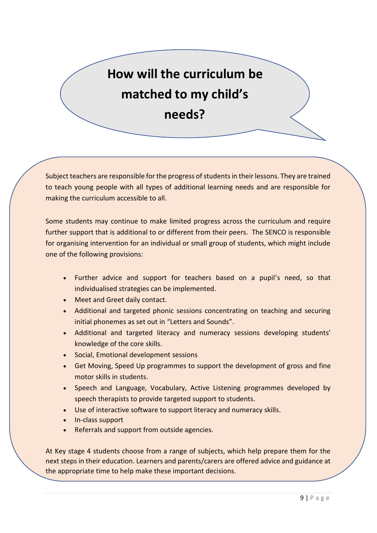# **How will the curriculum be matched to my child's needs?**

Subject teachers are responsible for the progress of students in their lessons. They are trained to teach young people with all types of additional learning needs and are responsible for making the curriculum accessible to all.

Some students may continue to make limited progress across the curriculum and require further support that is additional to or different from their peers. The SENCO is responsible for organising intervention for an individual or small group of students, which might include one of the following provisions:

- Further advice and support for teachers based on a pupil's need, so that individualised strategies can be implemented.
- Meet and Greet daily contact.
- Additional and targeted phonic sessions concentrating on teaching and securing initial phonemes as set out in "Letters and Sounds".
- Additional and targeted literacy and numeracy sessions developing students' knowledge of the core skills.
- Social, Emotional development sessions
- Get Moving, Speed Up programmes to support the development of gross and fine motor skills in students.
- Speech and Language, Vocabulary, Active Listening programmes developed by speech therapists to provide targeted support to students.
- Use of interactive software to support literacy and numeracy skills.
- In-class support
- Referrals and support from outside agencies.

At Key stage 4 students choose from a range of subjects, which help prepare them for the next steps in their education. Learners and parents/carers are offered advice and guidance at the appropriate time to help make these important decisions.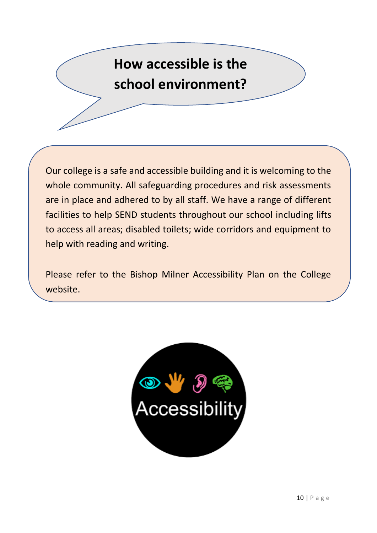# **How accessible is the school environment?**

Our college is a safe and accessible building and it is welcoming to the whole community. All safeguarding procedures and risk assessments are in place and adhered to by all staff. We have a range of different facilities to help SEND students throughout our school including lifts to access all areas; disabled toilets; wide corridors and equipment to help with reading and writing.

Please refer to the Bishop Milner Accessibility Plan on the College website.

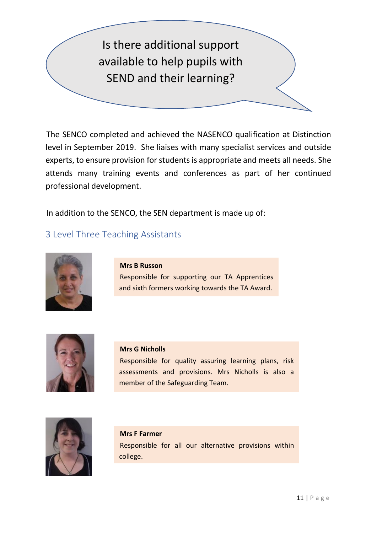## Is there additional support available to help pupils with SEND and their learning?

The SENCO completed and achieved the NASENCO qualification at Distinction level in September 2019. She liaises with many specialist services and outside experts, to ensure provision for students is appropriate and meets all needs. She attends many training events and conferences as part of her continued professional development.

In addition to the SENCO, the SEN department is made up of:

### 3 Level Three Teaching Assistants



**Mrs B Russon** Responsible for supporting our TA Apprentices and sixth formers working towards the TA Award.



#### **Mrs G Nicholls**

Responsible for quality assuring learning plans, risk assessments and provisions. Mrs Nicholls is also a member of the Safeguarding Team.



### **Mrs F Farmer** Responsible for all our alternative provisions within college.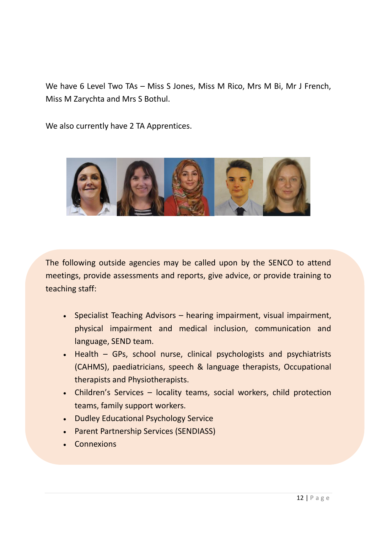We have 6 Level Two TAs – Miss S Jones, Miss M Rico, Mrs M Bi, Mr J French, Miss M Zarychta and Mrs S Bothul.

We also currently have 2 TA Apprentices.



The following outside agencies may be called upon by the SENCO to attend meetings, provide assessments and reports, give advice, or provide training to teaching staff:

- Specialist Teaching Advisors hearing impairment, visual impairment, physical impairment and medical inclusion, communication and language, SEND team.
- Health GPs, school nurse, clinical psychologists and psychiatrists (CAHMS), paediatricians, speech & language therapists, Occupational therapists and Physiotherapists.
- Children's Services locality teams, social workers, child protection teams, family support workers.
- Dudley Educational Psychology Service
- Parent Partnership Services (SENDIASS)
- Connexions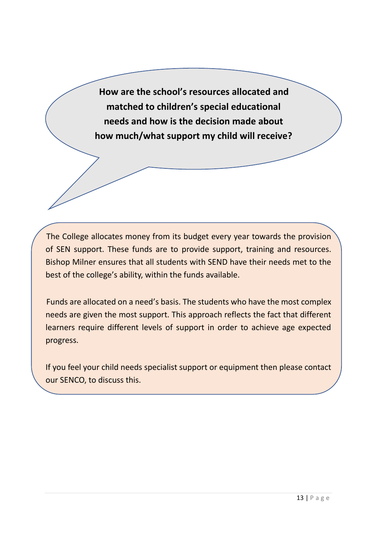**How are the school's resources allocated and matched to children's special educational needs and how is the decision made about how much/what support my child will receive?**

The College allocates money from its budget every year towards the provision of SEN support. These funds are to provide support, training and resources. Bishop Milner ensures that all students with SEND have their needs met to the best of the college's ability, within the funds available.

Funds are allocated on a need's basis. The students who have the most complex needs are given the most support. This approach reflects the fact that different learners require different levels of support in order to achieve age expected progress.

If you feel your child needs specialist support or equipment then please contact our SENCO, to discuss this.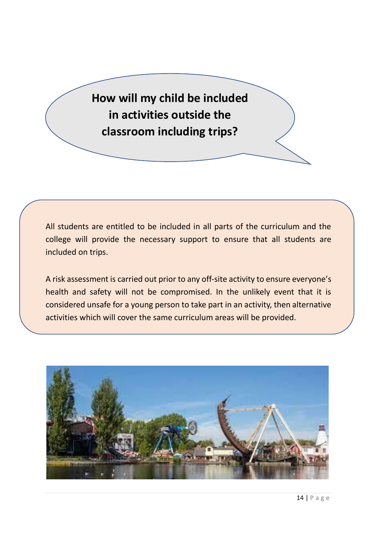**How will my child be included in activities outside the classroom including trips?**

All students are entitled to be included in all parts of the curriculum and the college will provide the necessary support to ensure that all students are included on trips.

A risk assessment is carried out prior to any off-site activity to ensure everyone's health and safety will not be compromised. In the unlikely event that it is considered unsafe for a young person to take part in an activity, then alternative activities which will cover the same curriculum areas will be provided.

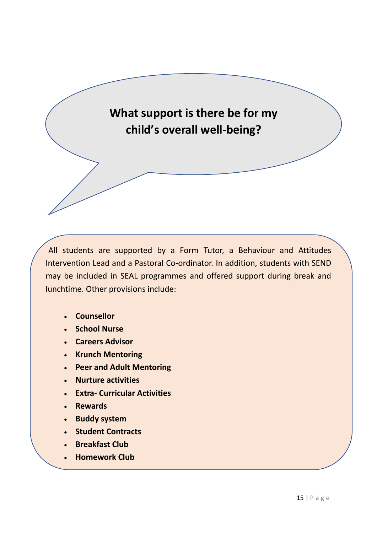

All students are supported by a Form Tutor, a Behaviour and Attitudes Intervention Lead and a Pastoral Co-ordinator. In addition, students with SEND may be included in SEAL programmes and offered support during break and lunchtime. Other provisions include:

- **Counsellor**
- **School Nurse**
- **Careers Advisor**
- **Krunch Mentoring**
- **Peer and Adult Mentoring**
- **Nurture activities**
- **Extra- Curricular Activities**
- **Rewards**
- **Buddy system**
- **Student Contracts**
- **Breakfast Club**
- **Homework Club**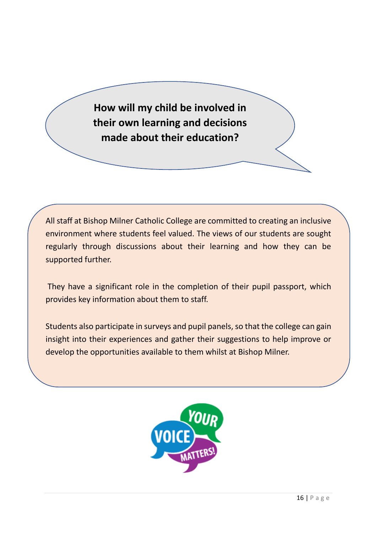**How will my child be involved in their own learning and decisions made about their education?**

All staff at Bishop Milner Catholic College are committed to creating an inclusive environment where students feel valued. The views of our students are sought regularly through discussions about their learning and how they can be supported further.

They have a significant role in the completion of their pupil passport, which provides key information about them to staff.

Students also participate in surveys and pupil panels, so that the college can gain insight into their experiences and gather their suggestions to help improve or develop the opportunities available to them whilst at Bishop Milner.

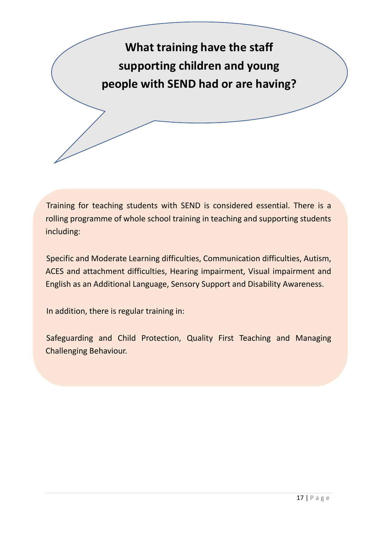

Training for teaching students with SEND is considered essential. There is a rolling programme of whole school training in teaching and supporting students including:

Specific and Moderate Learning difficulties, Communication difficulties, Autism, ACES and attachment difficulties, Hearing impairment, Visual impairment and English as an Additional Language, Sensory Support and Disability Awareness.

In addition, there is regular training in:

Safeguarding and Child Protection, Quality First Teaching and Managing Challenging Behaviour.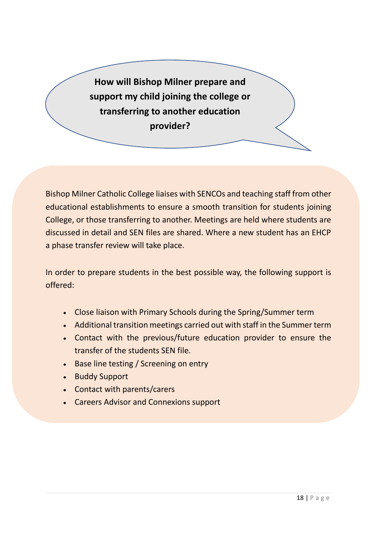**How will Bishop Milner prepare and support my child joining the college or transferring to another education provider?**

Bishop Milner Catholic College liaises with SENCOs and teaching staff from other educational establishments to ensure a smooth transition for students joining College, or those transferring to another. Meetings are held where students are discussed in detail and SEN files are shared. Where a new student has an EHCP a phase transfer review will take place.

In order to prepare students in the best possible way, the following support is offered:

- Close liaison with Primary Schools during the Spring/Summer term
- Additional transition meetings carried out with staff in the Summer term
- Contact with the previous/future education provider to ensure the transfer of the students SEN file.
- Base line testing / Screening on entry
- Buddy Support
- Contact with parents/carers
- Careers Advisor and Connexions support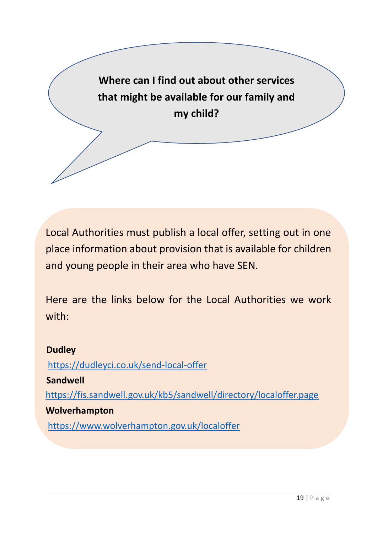

Local Authorities must publish a local offer, setting out in one place information about provision that is available for children and young people in their area who have SEN.

Here are the links below for the Local Authorities we work with:

### **Dudley**

<https://dudleyci.co.uk/send-local-offer>

### **Sandwell**

<https://fis.sandwell.gov.uk/kb5/sandwell/directory/localoffer.page>

### **Wolverhampton**

<https://www.wolverhampton.gov.uk/localoffer>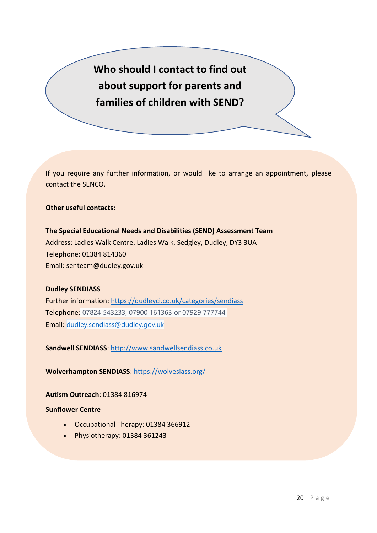**Who should I contact to find out about support for parents and families of children with SEND?**

If you require any further information, or would like to arrange an appointment, please contact the SENCO.

**Other useful contacts:**

**The Special Educational Needs and Disabilities (SEND) Assessment Team** Address: Ladies Walk Centre, Ladies Walk, Sedgley, Dudley, DY3 3UA Telephone: 01384 814360 Email: senteam@dudley.gov.uk

#### **Dudley SENDIASS**

Further information:<https://dudleyci.co.uk/categories/sendiass> Telephone: 07824 543233, 07900 161363 or 07929 777744 Email: [dudley.sendiass@dudley.gov.uk](mailto:dudley.sendiass@dudley.gov.uk)

**Sandwell SENDIASS**: [http://www.sandwellsendiass.co.uk](http://www.sandwellsendiass.co.uk/)

**Wolverhampton SENDIASS**:<https://wolvesiass.org/>

**Autism Outreach**: 01384 816974

#### **Sunflower Centre**

- Occupational Therapy: 01384 366912
- Physiotherapy: 01384 361243